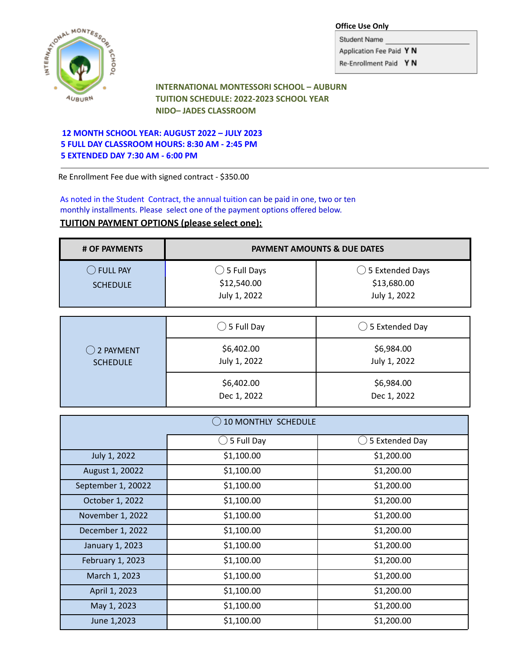

**Office Use Only**

Student Name Application Fee Paid Y N Re-Enrollment Paid Y N

**INTERNATIONAL MONTESSORI SCHOOL – AUBURN TUITION SCHEDULE: 2022-2023 SCHOOL YEAR NIDO– JADES CLASSROOM**

## **12 MONTH SCHOOL YEAR: AUGUST 2022 – JULY 2023 5 FULL DAY CLASSROOM HOURS: 8:30 AM - 2:45 PM 5 EXTENDED DAY 7:30 AM - 6:00 PM**

Re Enrollment Fee due with signed contract - \$350.00

As noted in the Student Contract, the annual tuition can be paid in one, two or ten monthly installments. Please select one of the payment options offered below.

## **TUITION PAYMENT OPTIONS (please select one):**

| # OF PAYMENTS                         | <b>PAYMENT AMOUNTS &amp; DUE DATES</b>                |                                                           |
|---------------------------------------|-------------------------------------------------------|-----------------------------------------------------------|
| $\supset$ full pay<br><b>SCHEDULE</b> | $\bigcirc$ 5 Full Days<br>\$12,540.00<br>July 1, 2022 | $\bigcirc$ 5 Extended Days<br>\$13,680.00<br>July 1, 2022 |
|                                       | $\bigcirc$ 5 Full Day                                 | $\bigcirc$ 5 Extended Day                                 |

| $()$ 2 PAYMENT  | \$6,402.00                | \$6,984.00                |
|-----------------|---------------------------|---------------------------|
| <b>SCHEDULE</b> | July 1, 2022              | July 1, 2022              |
|                 | \$6,402.00<br>Dec 1, 2022 | \$6,984.00<br>Dec 1, 2022 |

| <b>10 MONTHLY SCHEDULE</b> |            |                |
|----------------------------|------------|----------------|
|                            | 5 Full Day | 5 Extended Day |
| July 1, 2022               | \$1,100.00 | \$1,200.00     |
| August 1, 20022            | \$1,100.00 | \$1,200.00     |
| September 1, 20022         | \$1,100.00 | \$1,200.00     |
| October 1, 2022            | \$1,100.00 | \$1,200.00     |
| November 1, 2022           | \$1,100.00 | \$1,200.00     |
| December 1, 2022           | \$1,100.00 | \$1,200.00     |
| January 1, 2023            | \$1,100.00 | \$1,200.00     |
| February 1, 2023           | \$1,100.00 | \$1,200.00     |
| March 1, 2023              | \$1,100.00 | \$1,200.00     |
| April 1, 2023              | \$1,100.00 | \$1,200.00     |
| May 1, 2023                | \$1,100.00 | \$1,200.00     |
| June 1,2023                | \$1,100.00 | \$1,200.00     |